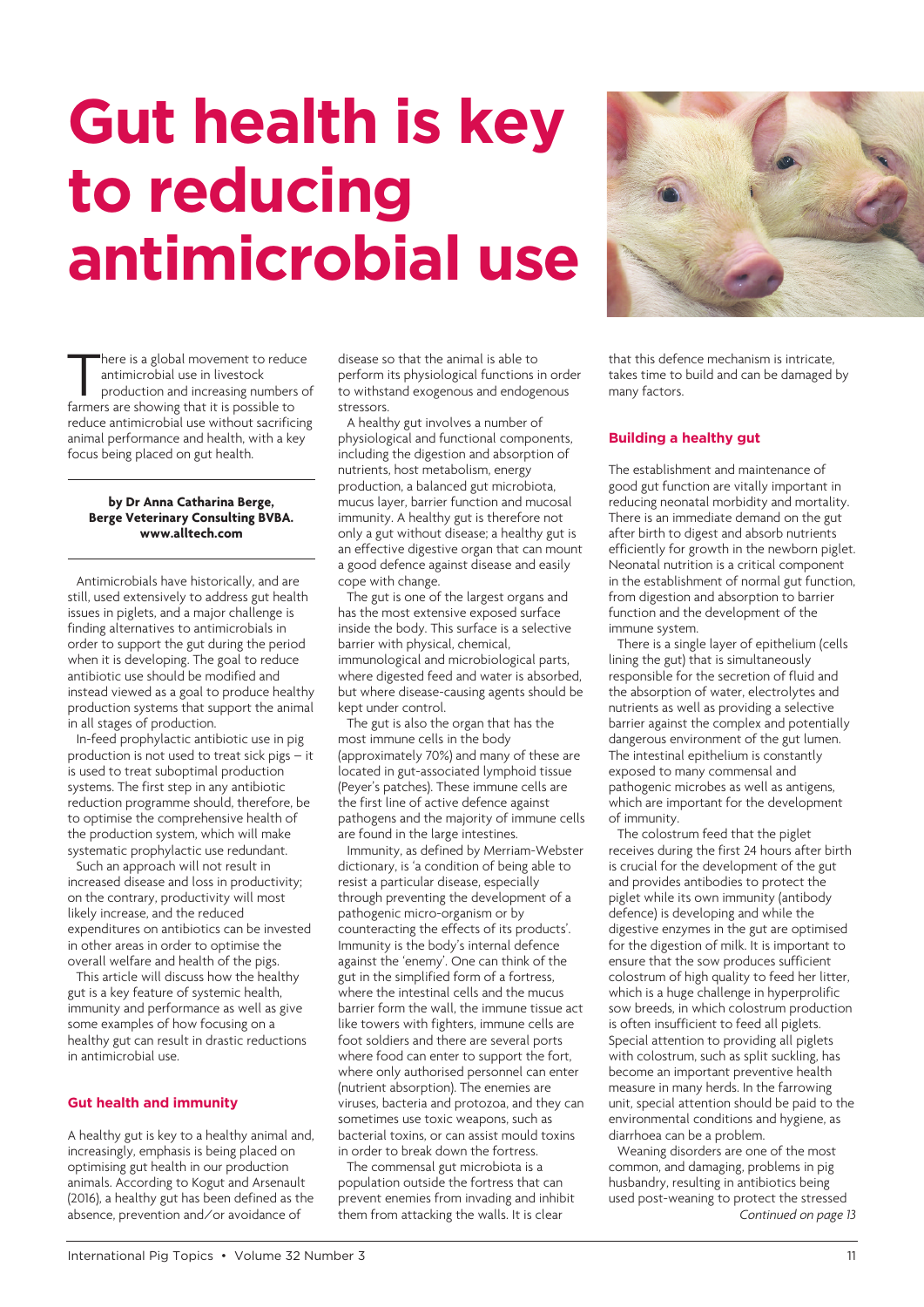# **Gut health is key to reducing antimicrobial use**



There is a global movement to reduce<br>
antimicrobial use in livestock<br>
production and increasing numbers of here is a global movement to reduce<br>antimicrobial use in livestock farmers are showing that it is possible to reduce antimicrobial use without sacrificing animal performance and health, with a key focus being placed on gut health.

#### **by Dr Anna Catharina Berge, Berge Veterinary Consulting BVBA. [www.alltech.com](http://go.alltech.com/antibiotic-reduction/eu)**

Antimicrobials have historically, and are still, used extensively to address gut health issues in piglets, and a major challenge is finding alternatives to antimicrobials in order to support the gut during the period when it is developing. The goal to reduce antibiotic use should be modified and instead viewed as a goal to produce healthy production systems that support the animal in all stages of production.

In-feed prophylactic antibiotic use in pig production is not used to treat sick pigs – it is used to treat suboptimal production systems. The first step in any antibiotic reduction programme should, therefore, be to optimise the comprehensive health of the production system, which will make systematic prophylactic use redundant.

Such an approach will not result in increased disease and loss in productivity; on the contrary, productivity will most likely increase, and the reduced expenditures on antibiotics can be invested in other areas in order to optimise the overall welfare and health of the pigs.

This article will discuss how the healthy gut is a key feature of systemic health, immunity and performance as well as give some examples of how focusing on a healthy gut can result in drastic reductions in antimicrobial use.

# **Gut health and immunity**

A healthy gut is key to a healthy animal and, increasingly, emphasis is being placed on optimising gut health in our production animals. According to Kogut and Arsenault (2016), a healthy gut has been defined as the absence, prevention and/or avoidance of

disease so that the animal is able to perform its physiological functions in order to withstand exogenous and endogenous stressors.

A healthy gut involves a number of physiological and functional components, including the digestion and absorption of nutrients, host metabolism, energy production, a balanced gut microbiota, mucus layer, barrier function and mucosal immunity. A healthy gut is therefore not only a gut without disease; a healthy gut is an effective digestive organ that can mount a good defence against disease and easily cope with change.

The gut is one of the largest organs and has the most extensive exposed surface inside the body. This surface is a selective barrier with physical, chemical, immunological and microbiological parts, where digested feed and water is absorbed, but where disease-causing agents should be kept under control.

The gut is also the organ that has the most immune cells in the body (approximately 70%) and many of these are located in gut-associated lymphoid tissue (Peyer's patches). These immune cells are the first line of active defence against pathogens and the majority of immune cells are found in the large intestines.

Immunity, as defined by Merriam-Webster dictionary, is 'a condition of being able to resist a particular disease, especially through preventing the development of a pathogenic micro-organism or by counteracting the effects of its products'. Immunity is the body's internal defence against the 'enemy'. One can think of the gut in the simplified form of a fortress, where the intestinal cells and the mucus barrier form the wall, the immune tissue act like towers with fighters, immune cells are foot soldiers and there are several ports where food can enter to support the fort, where only authorised personnel can enter (nutrient absorption). The enemies are viruses, bacteria and protozoa, and they can sometimes use toxic weapons, such as bacterial toxins, or can assist mould toxins in order to break down the fortress.

The commensal gut microbiota is a population outside the fortress that can prevent enemies from invading and inhibit them from attacking the walls. It is clear

that this defence mechanism is intricate, takes time to build and can be damaged by many factors.

# **Building a healthy gut**

The establishment and maintenance of good gut function are vitally important in reducing neonatal morbidity and mortality. There is an immediate demand on the gut after birth to digest and absorb nutrients efficiently for growth in the newborn piglet. Neonatal nutrition is a critical component in the establishment of normal gut function, from digestion and absorption to barrier function and the development of the immune system.

There is a single layer of epithelium (cells lining the gut) that is simultaneously responsible for the secretion of fluid and the absorption of water, electrolytes and nutrients as well as providing a selective barrier against the complex and potentially dangerous environment of the gut lumen. The intestinal epithelium is constantly exposed to many commensal and pathogenic microbes as well as antigens, which are important for the development of immunity.

The colostrum feed that the piglet receives during the first 24 hours after birth is crucial for the development of the gut and provides antibodies to protect the piglet while its own immunity (antibody defence) is developing and while the digestive enzymes in the gut are optimised for the digestion of milk. It is important to ensure that the sow produces sufficient colostrum of high quality to feed her litter, which is a huge challenge in hyperprolific sow breeds, in which colostrum production is often insufficient to feed all piglets. Special attention to providing all piglets with colostrum, such as split suckling, has become an important preventive health measure in many herds. In the farrowing unit, special attention should be paid to the environmental conditions and hygiene, as diarrhoea can be a problem.

Weaning disorders are one of the most common, and damaging, problems in pig husbandry, resulting in antibiotics being used post-weaning to protect the stressed *Continued on page 13*